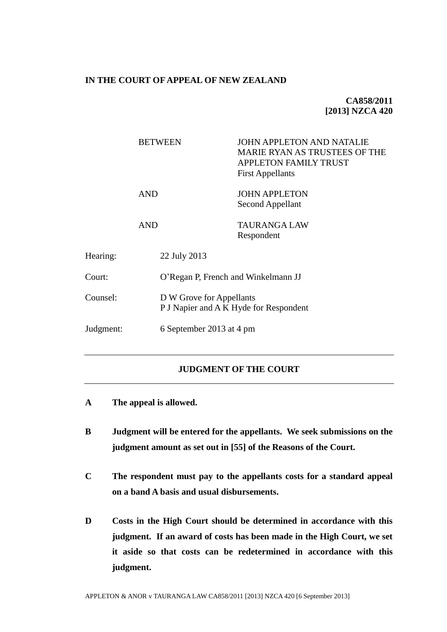### **IN THE COURT OF APPEAL OF NEW ZEALAND**

# **CA858/2011 [2013] NZCA 420**

|           | <b>BETWEEN</b> | <b>JOHN APPLETON AND NATALIE</b><br>MARIE RYAN AS TRUSTEES OF THE<br><b>APPLETON FAMILY TRUST</b><br><b>First Appellants</b> |  |
|-----------|----------------|------------------------------------------------------------------------------------------------------------------------------|--|
|           | AND            | <b>JOHN APPLETON</b><br><b>Second Appellant</b>                                                                              |  |
|           | <b>AND</b>     | TAURANGA LAW<br>Respondent                                                                                                   |  |
| Hearing:  | 22 July 2013   |                                                                                                                              |  |
| Court:    |                | O'Regan P, French and Winkelmann JJ                                                                                          |  |
| Counsel:  |                | D W Grove for Appellants<br>P J Napier and A K Hyde for Respondent                                                           |  |
| Judgment: |                | 6 September 2013 at 4 pm                                                                                                     |  |

# **JUDGMENT OF THE COURT**

- **A The appeal is allowed.**
- **B Judgment will be entered for the appellants. We seek submissions on the judgment amount as set out in [\[55\]](#page-18-0) of the Reasons of the Court.**
- **C The respondent must pay to the appellants costs for a standard appeal on a band A basis and usual disbursements.**
- **D Costs in the High Court should be determined in accordance with this judgment. If an award of costs has been made in the High Court, we set it aside so that costs can be redetermined in accordance with this judgment.**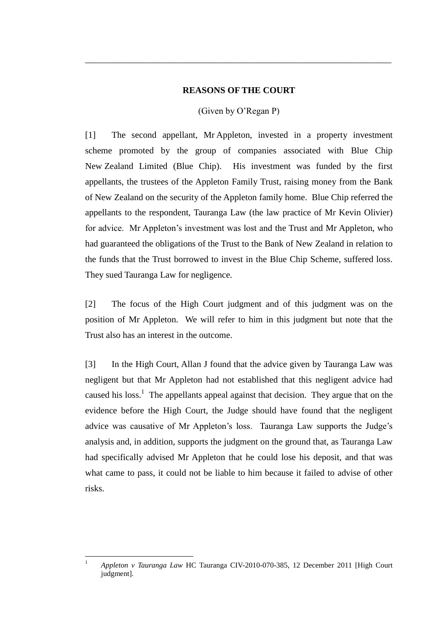### **REASONS OF THE COURT**

\_\_\_\_\_\_\_\_\_\_\_\_\_\_\_\_\_\_\_\_\_\_\_\_\_\_\_\_\_\_\_\_\_\_\_\_\_\_\_\_\_\_\_\_\_\_\_\_\_\_\_\_\_\_\_\_\_\_\_\_\_\_\_\_\_\_\_\_

## (Given by O'Regan P)

[1] The second appellant, Mr Appleton, invested in a property investment scheme promoted by the group of companies associated with Blue Chip New Zealand Limited (Blue Chip). His investment was funded by the first appellants, the trustees of the Appleton Family Trust, raising money from the Bank of New Zealand on the security of the Appleton family home. Blue Chip referred the appellants to the respondent, Tauranga Law (the law practice of Mr Kevin Olivier) for advice. Mr Appleton's investment was lost and the Trust and Mr Appleton, who had guaranteed the obligations of the Trust to the Bank of New Zealand in relation to the funds that the Trust borrowed to invest in the Blue Chip Scheme, suffered loss. They sued Tauranga Law for negligence.

[2] The focus of the High Court judgment and of this judgment was on the position of Mr Appleton. We will refer to him in this judgment but note that the Trust also has an interest in the outcome.

<span id="page-1-0"></span>[3] In the High Court, Allan J found that the advice given by Tauranga Law was negligent but that Mr Appleton had not established that this negligent advice had caused his  $loss<sup>1</sup>$ . The appellants appeal against that decision. They argue that on the evidence before the High Court, the Judge should have found that the negligent advice was causative of Mr Appleton's loss. Tauranga Law supports the Judge's analysis and, in addition, supports the judgment on the ground that, as Tauranga Law had specifically advised Mr Appleton that he could lose his deposit, and that was what came to pass, it could not be liable to him because it failed to advise of other risks.

 $\overline{1}$ <sup>1</sup> *Appleton v Tauranga Law* HC Tauranga CIV-2010-070-385, 12 December 2011 [High Court judgment].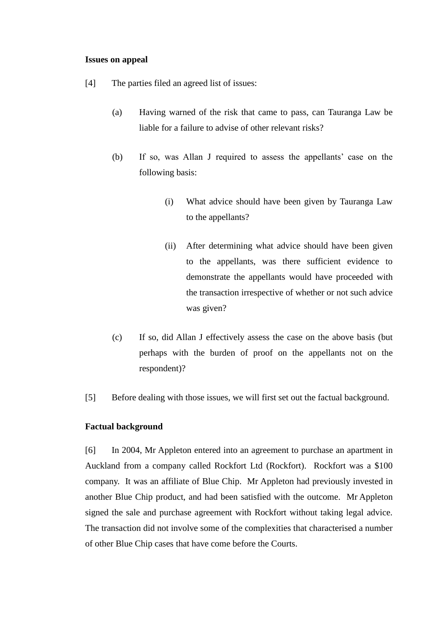## **Issues on appeal**

- <span id="page-2-0"></span>[4] The parties filed an agreed list of issues:
	- (a) Having warned of the risk that came to pass, can Tauranga Law be liable for a failure to advise of other relevant risks?
	- (b) If so, was Allan J required to assess the appellants' case on the following basis:
		- (i) What advice should have been given by Tauranga Law to the appellants?
		- (ii) After determining what advice should have been given to the appellants, was there sufficient evidence to demonstrate the appellants would have proceeded with the transaction irrespective of whether or not such advice was given?
	- (c) If so, did Allan J effectively assess the case on the above basis (but perhaps with the burden of proof on the appellants not on the respondent)?
- [5] Before dealing with those issues, we will first set out the factual background.

## **Factual background**

[6] In 2004, Mr Appleton entered into an agreement to purchase an apartment in Auckland from a company called Rockfort Ltd (Rockfort). Rockfort was a \$100 company. It was an affiliate of Blue Chip. Mr Appleton had previously invested in another Blue Chip product, and had been satisfied with the outcome. Mr Appleton signed the sale and purchase agreement with Rockfort without taking legal advice. The transaction did not involve some of the complexities that characterised a number of other Blue Chip cases that have come before the Courts.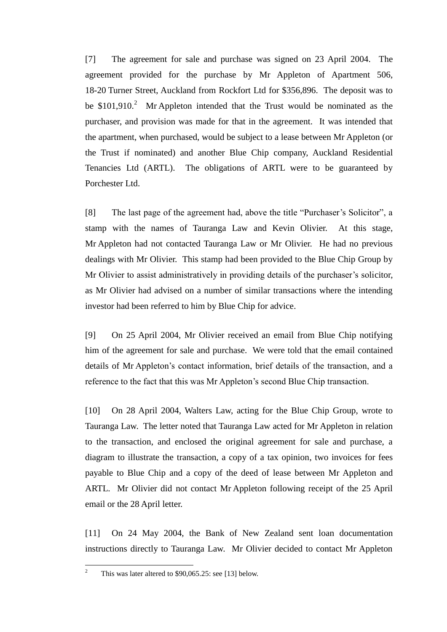[7] The agreement for sale and purchase was signed on 23 April 2004. The agreement provided for the purchase by Mr Appleton of Apartment 506, 18-20 Turner Street, Auckland from Rockfort Ltd for \$356,896. The deposit was to be  $$101,910.<sup>2</sup>$  Mr Appleton intended that the Trust would be nominated as the purchaser, and provision was made for that in the agreement. It was intended that the apartment, when purchased, would be subject to a lease between Mr Appleton (or the Trust if nominated) and another Blue Chip company, Auckland Residential Tenancies Ltd (ARTL). The obligations of ARTL were to be guaranteed by Porchester Ltd.

[8] The last page of the agreement had, above the title "Purchaser's Solicitor", a stamp with the names of Tauranga Law and Kevin Olivier. At this stage, Mr Appleton had not contacted Tauranga Law or Mr Olivier. He had no previous dealings with Mr Olivier. This stamp had been provided to the Blue Chip Group by Mr Olivier to assist administratively in providing details of the purchaser's solicitor, as Mr Olivier had advised on a number of similar transactions where the intending investor had been referred to him by Blue Chip for advice.

<span id="page-3-0"></span>[9] On 25 April 2004, Mr Olivier received an email from Blue Chip notifying him of the agreement for sale and purchase. We were told that the email contained details of Mr Appleton's contact information, brief details of the transaction, and a reference to the fact that this was Mr Appleton's second Blue Chip transaction.

<span id="page-3-1"></span>[10] On 28 April 2004, Walters Law, acting for the Blue Chip Group, wrote to Tauranga Law. The letter noted that Tauranga Law acted for Mr Appleton in relation to the transaction, and enclosed the original agreement for sale and purchase, a diagram to illustrate the transaction, a copy of a tax opinion, two invoices for fees payable to Blue Chip and a copy of the deed of lease between Mr Appleton and ARTL. Mr Olivier did not contact Mr Appleton following receipt of the 25 April email or the 28 April letter.

[11] On 24 May 2004, the Bank of New Zealand sent loan documentation instructions directly to Tauranga Law. Mr Olivier decided to contact Mr Appleton

 $\overline{2}$ This was later altered to \$90,065.25: see [\[13\]](#page-6-0) below.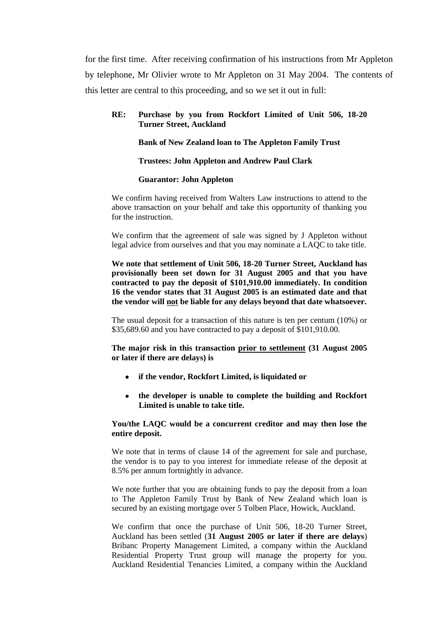for the first time. After receiving confirmation of his instructions from Mr Appleton by telephone, Mr Olivier wrote to Mr Appleton on 31 May 2004. The contents of this letter are central to this proceeding, and so we set it out in full:

### **RE: Purchase by you from Rockfort Limited of Unit 506, 18-20 Turner Street, Auckland**

#### **Bank of New Zealand loan to The Appleton Family Trust**

#### **Trustees: John Appleton and Andrew Paul Clark**

#### **Guarantor: John Appleton**

We confirm having received from Walters Law instructions to attend to the above transaction on your behalf and take this opportunity of thanking you for the instruction.

We confirm that the agreement of sale was signed by J Appleton without legal advice from ourselves and that you may nominate a LAQC to take title.

**We note that settlement of Unit 506, 18-20 Turner Street, Auckland has provisionally been set down for 31 August 2005 and that you have contracted to pay the deposit of \$101,910.00 immediately. In condition 16 the vendor states that 31 August 2005 is an estimated date and that the vendor will not be liable for any delays beyond that date whatsoever.** 

The usual deposit for a transaction of this nature is ten per centum (10%) or \$35,689.60 and you have contracted to pay a deposit of \$101,910.00.

**The major risk in this transaction prior to settlement (31 August 2005 or later if there are delays) is** 

- **if the vendor, Rockfort Limited, is liquidated or**
- **the developer is unable to complete the building and Rockfort Limited is unable to take title.**

### **You/the LAQC would be a concurrent creditor and may then lose the entire deposit.**

We note that in terms of clause 14 of the agreement for sale and purchase, the vendor is to pay to you interest for immediate release of the deposit at 8.5% per annum fortnightly in advance.

We note further that you are obtaining funds to pay the deposit from a loan to The Appleton Family Trust by Bank of New Zealand which loan is secured by an existing mortgage over 5 Tolben Place, Howick, Auckland.

We confirm that once the purchase of Unit 506, 18-20 Turner Street, Auckland has been settled (**31 August 2005 or later if there are delays**) Bribanc Property Management Limited, a company within the Auckland Residential Property Trust group will manage the property for you. Auckland Residential Tenancies Limited, a company within the Auckland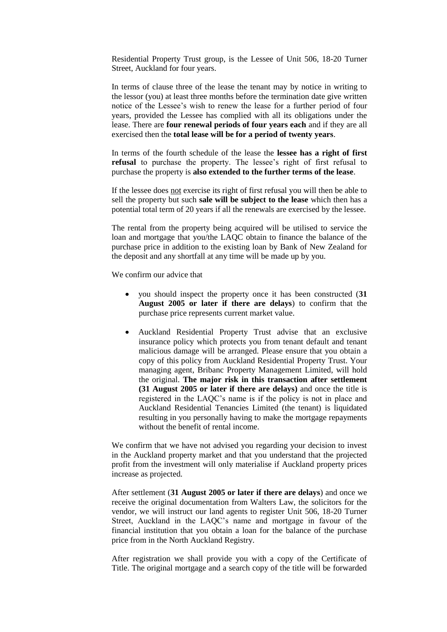Residential Property Trust group, is the Lessee of Unit 506, 18-20 Turner Street, Auckland for four years.

In terms of clause three of the lease the tenant may by notice in writing to the lessor (you) at least three months before the termination date give written notice of the Lessee's wish to renew the lease for a further period of four years, provided the Lessee has complied with all its obligations under the lease. There are **four renewal periods of four years each** and if they are all exercised then the **total lease will be for a period of twenty years**.

In terms of the fourth schedule of the lease the **lessee has a right of first refusal** to purchase the property. The lessee's right of first refusal to purchase the property is **also extended to the further terms of the lease**.

If the lessee does not exercise its right of first refusal you will then be able to sell the property but such **sale will be subject to the lease** which then has a potential total term of 20 years if all the renewals are exercised by the lessee.

The rental from the property being acquired will be utilised to service the loan and mortgage that you/the LAQC obtain to finance the balance of the purchase price in addition to the existing loan by Bank of New Zealand for the deposit and any shortfall at any time will be made up by you.

We confirm our advice that

- you should inspect the property once it has been constructed (**31 August 2005 or later if there are delays**) to confirm that the purchase price represents current market value.
- Auckland Residential Property Trust advise that an exclusive insurance policy which protects you from tenant default and tenant malicious damage will be arranged. Please ensure that you obtain a copy of this policy from Auckland Residential Property Trust. Your managing agent, Bribanc Property Management Limited, will hold the original. **The major risk in this transaction after settlement (31 August 2005 or later if there are delays)** and once the title is registered in the LAQC's name is if the policy is not in place and Auckland Residential Tenancies Limited (the tenant) is liquidated resulting in you personally having to make the mortgage repayments without the benefit of rental income.

We confirm that we have not advised you regarding your decision to invest in the Auckland property market and that you understand that the projected profit from the investment will only materialise if Auckland property prices increase as projected.

After settlement (**31 August 2005 or later if there are delays**) and once we receive the original documentation from Walters Law, the solicitors for the vendor, we will instruct our land agents to register Unit 506, 18-20 Turner Street, Auckland in the LAQC's name and mortgage in favour of the financial institution that you obtain a loan for the balance of the purchase price from in the North Auckland Registry.

After registration we shall provide you with a copy of the Certificate of Title. The original mortgage and a search copy of the title will be forwarded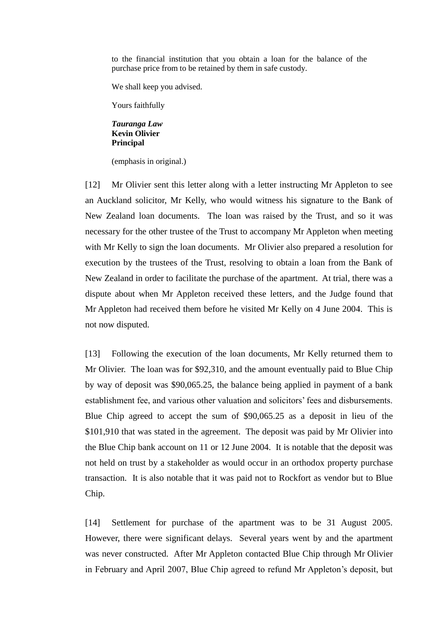to the financial institution that you obtain a loan for the balance of the purchase price from to be retained by them in safe custody.

We shall keep you advised.

Yours faithfully

#### *Tauranga Law*  **Kevin Olivier Principal**

(emphasis in original.)

[12] Mr Olivier sent this letter along with a letter instructing Mr Appleton to see an Auckland solicitor, Mr Kelly, who would witness his signature to the Bank of New Zealand loan documents. The loan was raised by the Trust, and so it was necessary for the other trustee of the Trust to accompany Mr Appleton when meeting with Mr Kelly to sign the loan documents. Mr Olivier also prepared a resolution for execution by the trustees of the Trust, resolving to obtain a loan from the Bank of New Zealand in order to facilitate the purchase of the apartment. At trial, there was a dispute about when Mr Appleton received these letters, and the Judge found that Mr Appleton had received them before he visited Mr Kelly on 4 June 2004. This is not now disputed.

<span id="page-6-0"></span>[13] Following the execution of the loan documents, Mr Kelly returned them to Mr Olivier. The loan was for \$92,310, and the amount eventually paid to Blue Chip by way of deposit was \$90,065.25, the balance being applied in payment of a bank establishment fee, and various other valuation and solicitors' fees and disbursements. Blue Chip agreed to accept the sum of \$90,065.25 as a deposit in lieu of the \$101,910 that was stated in the agreement. The deposit was paid by Mr Olivier into the Blue Chip bank account on 11 or 12 June 2004. It is notable that the deposit was not held on trust by a stakeholder as would occur in an orthodox property purchase transaction. It is also notable that it was paid not to Rockfort as vendor but to Blue Chip.

[14] Settlement for purchase of the apartment was to be 31 August 2005. However, there were significant delays. Several years went by and the apartment was never constructed. After Mr Appleton contacted Blue Chip through Mr Olivier in February and April 2007, Blue Chip agreed to refund Mr Appleton's deposit, but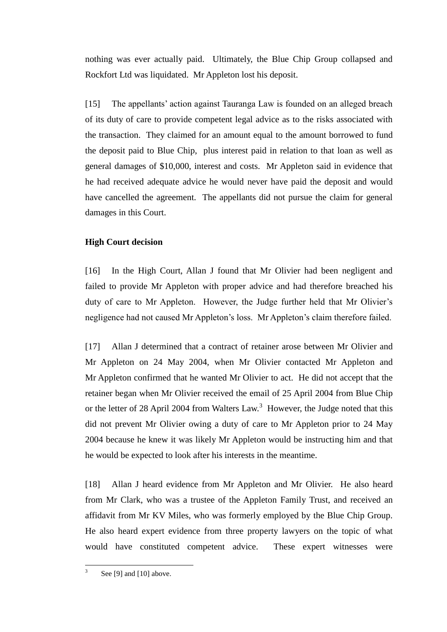nothing was ever actually paid. Ultimately, the Blue Chip Group collapsed and Rockfort Ltd was liquidated. Mr Appleton lost his deposit.

[15] The appellants' action against Tauranga Law is founded on an alleged breach of its duty of care to provide competent legal advice as to the risks associated with the transaction. They claimed for an amount equal to the amount borrowed to fund the deposit paid to Blue Chip, plus interest paid in relation to that loan as well as general damages of \$10,000, interest and costs. Mr Appleton said in evidence that he had received adequate advice he would never have paid the deposit and would have cancelled the agreement. The appellants did not pursue the claim for general damages in this Court.

## **High Court decision**

[16] In the High Court, Allan J found that Mr Olivier had been negligent and failed to provide Mr Appleton with proper advice and had therefore breached his duty of care to Mr Appleton. However, the Judge further held that Mr Olivier's negligence had not caused Mr Appleton's loss. Mr Appleton's claim therefore failed.

[17] Allan J determined that a contract of retainer arose between Mr Olivier and Mr Appleton on 24 May 2004, when Mr Olivier contacted Mr Appleton and Mr Appleton confirmed that he wanted Mr Olivier to act. He did not accept that the retainer began when Mr Olivier received the email of 25 April 2004 from Blue Chip or the letter of 28 April 2004 from Walters Law.<sup>3</sup> However, the Judge noted that this did not prevent Mr Olivier owing a duty of care to Mr Appleton prior to 24 May 2004 because he knew it was likely Mr Appleton would be instructing him and that he would be expected to look after his interests in the meantime.

[18] Allan J heard evidence from Mr Appleton and Mr Olivier. He also heard from Mr Clark, who was a trustee of the Appleton Family Trust, and received an affidavit from Mr KV Miles, who was formerly employed by the Blue Chip Group. He also heard expert evidence from three property lawyers on the topic of what would have constituted competent advice. These expert witnesses were

 $\frac{1}{3}$ Se[e \[9\]](#page-3-0) an[d \[10\]](#page-3-1) above.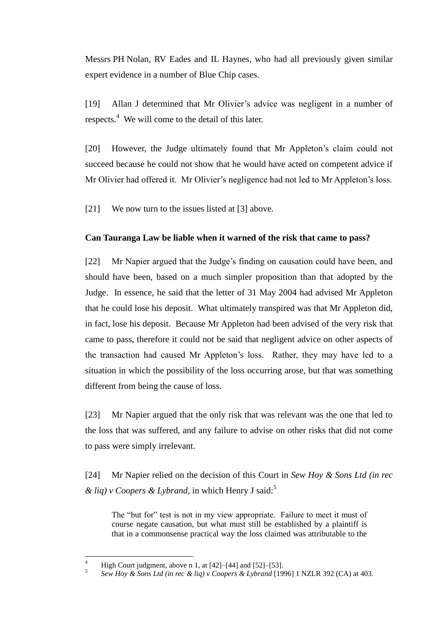Messrs PH Nolan, RV Eades and IL Haynes, who had all previously given similar expert evidence in a number of Blue Chip cases.

[19] Allan J determined that Mr Olivier's advice was negligent in a number of respects.<sup>4</sup> We will come to the detail of this later.

[20] However, the Judge ultimately found that Mr Appleton's claim could not succeed because he could not show that he would have acted on competent advice if Mr Olivier had offered it. Mr Olivier's negligence had not led to Mr Appleton's loss.

[21] We now turn to the issues listed at [\[3\]](#page-1-0) above.

# **Can Tauranga Law be liable when it warned of the risk that came to pass?**

[22] Mr Napier argued that the Judge's finding on causation could have been, and should have been, based on a much simpler proposition than that adopted by the Judge. In essence, he said that the letter of 31 May 2004 had advised Mr Appleton that he could lose his deposit. What ultimately transpired was that Mr Appleton did, in fact, lose his deposit. Because Mr Appleton had been advised of the very risk that came to pass, therefore it could not be said that negligent advice on other aspects of the transaction had caused Mr Appleton's loss. Rather, they may have led to a situation in which the possibility of the loss occurring arose, but that was something different from being the cause of loss.

[23] Mr Napier argued that the only risk that was relevant was the one that led to the loss that was suffered, and any failure to advise on other risks that did not come to pass were simply irrelevant.

[24] Mr Napier relied on the decision of this Court in *Sew Hoy & Sons Ltd (in rec & liq) v Coopers & Lybrand*, in which Henry J said:<sup>5</sup>

The "but for" test is not in my view appropriate. Failure to meet it must of course negate causation, but what must still be established by a plaintiff is that in a commonsense practical way the loss claimed was attributable to the

 $\overline{4}$ High Court judgment, above n 1, at  $[42]$ – $[44]$  and  $[52]$ – $[53]$ .

<sup>5</sup> *Sew Hoy & Sons Ltd (in rec & liq) v Coopers & Lybrand* [1996] 1 NZLR 392 (CA) at 403.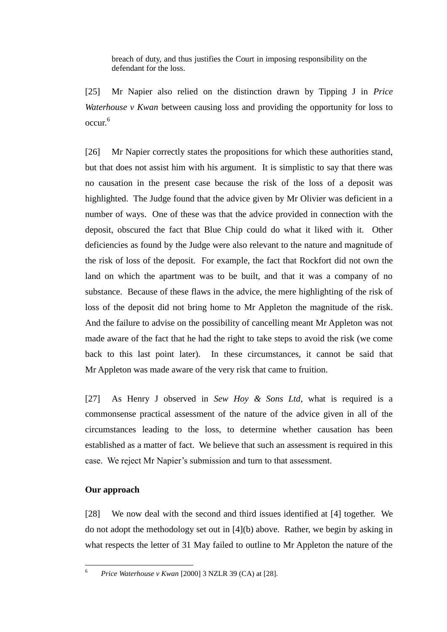breach of duty, and thus justifies the Court in imposing responsibility on the defendant for the loss.

[25] Mr Napier also relied on the distinction drawn by Tipping J in *Price Waterhouse v Kwan* between causing loss and providing the opportunity for loss to occur.<sup>6</sup>

[26] Mr Napier correctly states the propositions for which these authorities stand, but that does not assist him with his argument. It is simplistic to say that there was no causation in the present case because the risk of the loss of a deposit was highlighted. The Judge found that the advice given by Mr Olivier was deficient in a number of ways. One of these was that the advice provided in connection with the deposit, obscured the fact that Blue Chip could do what it liked with it. Other deficiencies as found by the Judge were also relevant to the nature and magnitude of the risk of loss of the deposit. For example, the fact that Rockfort did not own the land on which the apartment was to be built, and that it was a company of no substance. Because of these flaws in the advice, the mere highlighting of the risk of loss of the deposit did not bring home to Mr Appleton the magnitude of the risk. And the failure to advise on the possibility of cancelling meant Mr Appleton was not made aware of the fact that he had the right to take steps to avoid the risk (we come back to this last point later). In these circumstances, it cannot be said that Mr Appleton was made aware of the very risk that came to fruition.

[27] As Henry J observed in *Sew Hoy & Sons Ltd*, what is required is a commonsense practical assessment of the nature of the advice given in all of the circumstances leading to the loss, to determine whether causation has been established as a matter of fact. We believe that such an assessment is required in this case. We reject Mr Napier's submission and turn to that assessment.

## **Our approach**

[28] We now deal with the second and third issues identified at [\[4\]](#page-2-0) together. We do not adopt the methodology set out in [\[4\]\(](#page-2-0)b) above. Rather, we begin by asking in what respects the letter of 31 May failed to outline to Mr Appleton the nature of the

 $6\overline{6}$ <sup>6</sup> *Price Waterhouse v Kwan* [2000] 3 NZLR 39 (CA) at [28].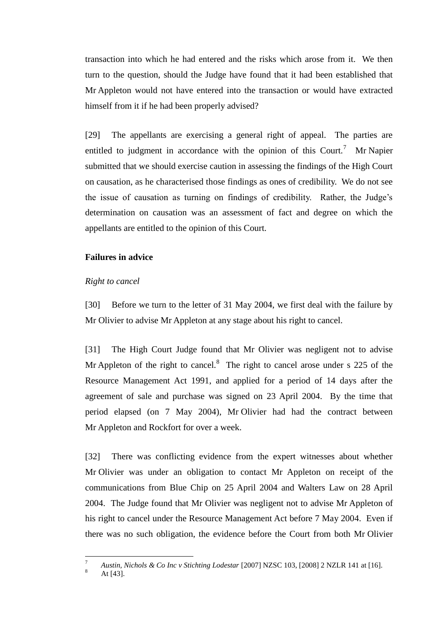transaction into which he had entered and the risks which arose from it. We then turn to the question, should the Judge have found that it had been established that Mr Appleton would not have entered into the transaction or would have extracted himself from it if he had been properly advised?

[29] The appellants are exercising a general right of appeal. The parties are entitled to judgment in accordance with the opinion of this Court.<sup>7</sup> Mr Napier submitted that we should exercise caution in assessing the findings of the High Court on causation, as he characterised those findings as ones of credibility. We do not see the issue of causation as turning on findings of credibility. Rather, the Judge's determination on causation was an assessment of fact and degree on which the appellants are entitled to the opinion of this Court.

### **Failures in advice**

#### *Right to cancel*

[30] Before we turn to the letter of 31 May 2004, we first deal with the failure by Mr Olivier to advise Mr Appleton at any stage about his right to cancel.

[31] The High Court Judge found that Mr Olivier was negligent not to advise Mr Appleton of the right to cancel.<sup>8</sup> The right to cancel arose under s 225 of the Resource Management Act 1991, and applied for a period of 14 days after the agreement of sale and purchase was signed on 23 April 2004. By the time that period elapsed (on 7 May 2004), Mr Olivier had had the contract between Mr Appleton and Rockfort for over a week.

[32] There was conflicting evidence from the expert witnesses about whether Mr Olivier was under an obligation to contact Mr Appleton on receipt of the communications from Blue Chip on 25 April 2004 and Walters Law on 28 April 2004. The Judge found that Mr Olivier was negligent not to advise Mr Appleton of his right to cancel under the Resource Management Act before 7 May 2004. Even if there was no such obligation, the evidence before the Court from both Mr Olivier

 $\overline{a}$ 

<sup>7</sup> *Austin, Nichols & Co Inc v Stichting Lodestar* [2007] NZSC 103, [2008] 2 NZLR 141 at [16].

At [43].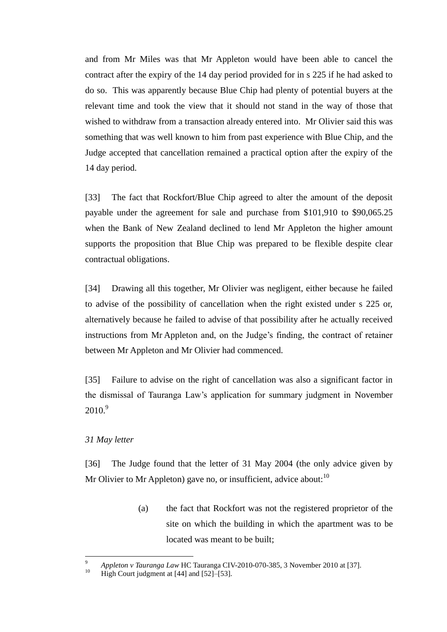and from Mr Miles was that Mr Appleton would have been able to cancel the contract after the expiry of the 14 day period provided for in s 225 if he had asked to do so. This was apparently because Blue Chip had plenty of potential buyers at the relevant time and took the view that it should not stand in the way of those that wished to withdraw from a transaction already entered into. Mr Olivier said this was something that was well known to him from past experience with Blue Chip, and the Judge accepted that cancellation remained a practical option after the expiry of the 14 day period.

[33] The fact that Rockfort/Blue Chip agreed to alter the amount of the deposit payable under the agreement for sale and purchase from \$101,910 to \$90,065.25 when the Bank of New Zealand declined to lend Mr Appleton the higher amount supports the proposition that Blue Chip was prepared to be flexible despite clear contractual obligations.

[34] Drawing all this together, Mr Olivier was negligent, either because he failed to advise of the possibility of cancellation when the right existed under s 225 or, alternatively because he failed to advise of that possibility after he actually received instructions from Mr Appleton and, on the Judge's finding, the contract of retainer between Mr Appleton and Mr Olivier had commenced.

[35] Failure to advise on the right of cancellation was also a significant factor in the dismissal of Tauranga Law's application for summary judgment in November  $2010.<sup>9</sup>$ 

## *31 May letter*

 $\overline{a}$ 

[36] The Judge found that the letter of 31 May 2004 (the only advice given by Mr Olivier to Mr Appleton) gave no, or insufficient, advice about:  $10$ 

> (a) the fact that Rockfort was not the registered proprietor of the site on which the building in which the apartment was to be located was meant to be built;

*<sup>9</sup> Appleton v Tauranga Law* HC Tauranga CIV-2010-070-385, 3 November 2010 at [37].<br><sup>10</sup> High Court indemant at [44] and [52] [53]

High Court judgment at  $[44]$  and  $[52]$ – $[53]$ .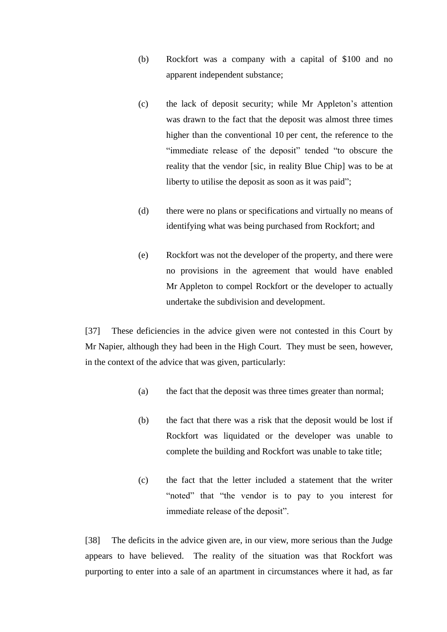- (b) Rockfort was a company with a capital of \$100 and no apparent independent substance;
- (c) the lack of deposit security; while Mr Appleton's attention was drawn to the fact that the deposit was almost three times higher than the conventional 10 per cent, the reference to the "immediate release of the deposit" tended "to obscure the reality that the vendor [sic, in reality Blue Chip] was to be at liberty to utilise the deposit as soon as it was paid";
- (d) there were no plans or specifications and virtually no means of identifying what was being purchased from Rockfort; and
- (e) Rockfort was not the developer of the property, and there were no provisions in the agreement that would have enabled Mr Appleton to compel Rockfort or the developer to actually undertake the subdivision and development.

[37] These deficiencies in the advice given were not contested in this Court by Mr Napier, although they had been in the High Court. They must be seen, however, in the context of the advice that was given, particularly:

- (a) the fact that the deposit was three times greater than normal;
- (b) the fact that there was a risk that the deposit would be lost if Rockfort was liquidated or the developer was unable to complete the building and Rockfort was unable to take title;
- (c) the fact that the letter included a statement that the writer "noted" that "the vendor is to pay to you interest for immediate release of the deposit".

[38] The deficits in the advice given are, in our view, more serious than the Judge appears to have believed. The reality of the situation was that Rockfort was purporting to enter into a sale of an apartment in circumstances where it had, as far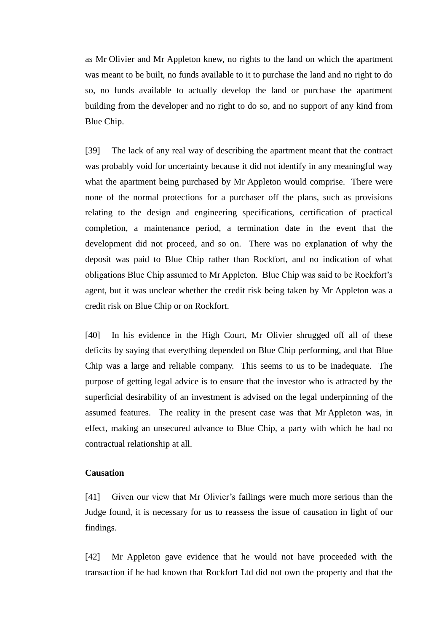as Mr Olivier and Mr Appleton knew, no rights to the land on which the apartment was meant to be built, no funds available to it to purchase the land and no right to do so, no funds available to actually develop the land or purchase the apartment building from the developer and no right to do so, and no support of any kind from Blue Chip.

[39] The lack of any real way of describing the apartment meant that the contract was probably void for uncertainty because it did not identify in any meaningful way what the apartment being purchased by Mr Appleton would comprise. There were none of the normal protections for a purchaser off the plans, such as provisions relating to the design and engineering specifications, certification of practical completion, a maintenance period, a termination date in the event that the development did not proceed, and so on. There was no explanation of why the deposit was paid to Blue Chip rather than Rockfort, and no indication of what obligations Blue Chip assumed to Mr Appleton. Blue Chip was said to be Rockfort's agent, but it was unclear whether the credit risk being taken by Mr Appleton was a credit risk on Blue Chip or on Rockfort.

[40] In his evidence in the High Court, Mr Olivier shrugged off all of these deficits by saying that everything depended on Blue Chip performing, and that Blue Chip was a large and reliable company. This seems to us to be inadequate. The purpose of getting legal advice is to ensure that the investor who is attracted by the superficial desirability of an investment is advised on the legal underpinning of the assumed features. The reality in the present case was that Mr Appleton was, in effect, making an unsecured advance to Blue Chip, a party with which he had no contractual relationship at all.

# **Causation**

[41] Given our view that Mr Olivier's failings were much more serious than the Judge found, it is necessary for us to reassess the issue of causation in light of our findings.

[42] Mr Appleton gave evidence that he would not have proceeded with the transaction if he had known that Rockfort Ltd did not own the property and that the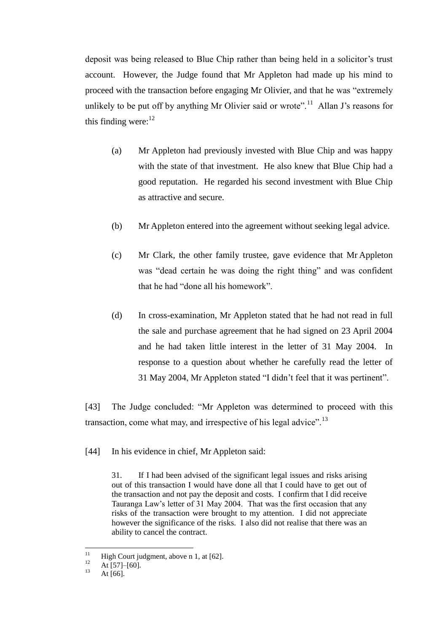deposit was being released to Blue Chip rather than being held in a solicitor's trust account. However, the Judge found that Mr Appleton had made up his mind to proceed with the transaction before engaging Mr Olivier, and that he was "extremely unlikely to be put off by anything Mr Olivier said or wrote".<sup>11</sup> Allan J's reasons for this finding were: $12$ 

- (a) Mr Appleton had previously invested with Blue Chip and was happy with the state of that investment. He also knew that Blue Chip had a good reputation. He regarded his second investment with Blue Chip as attractive and secure.
- (b) Mr Appleton entered into the agreement without seeking legal advice.
- (c) Mr Clark, the other family trustee, gave evidence that Mr Appleton was "dead certain he was doing the right thing" and was confident that he had "done all his homework".
- (d) In cross-examination, Mr Appleton stated that he had not read in full the sale and purchase agreement that he had signed on 23 April 2004 and he had taken little interest in the letter of 31 May 2004. In response to a question about whether he carefully read the letter of 31 May 2004, Mr Appleton stated "I didn't feel that it was pertinent".

[43] The Judge concluded: "Mr Appleton was determined to proceed with this transaction, come what may, and irrespective of his legal advice".<sup>13</sup>

[44] In his evidence in chief, Mr Appleton said:

31. If I had been advised of the significant legal issues and risks arising out of this transaction I would have done all that I could have to get out of the transaction and not pay the deposit and costs. I confirm that I did receive Tauranga Law's letter of 31 May 2004. That was the first occasion that any risks of the transaction were brought to my attention. I did not appreciate however the significance of the risks. I also did not realise that there was an ability to cancel the contract.

 $11\,$ <sup>11</sup> High Court judgment, above n 1, at [62].

 $12$  At [57]–[60].

At  $[66]$ .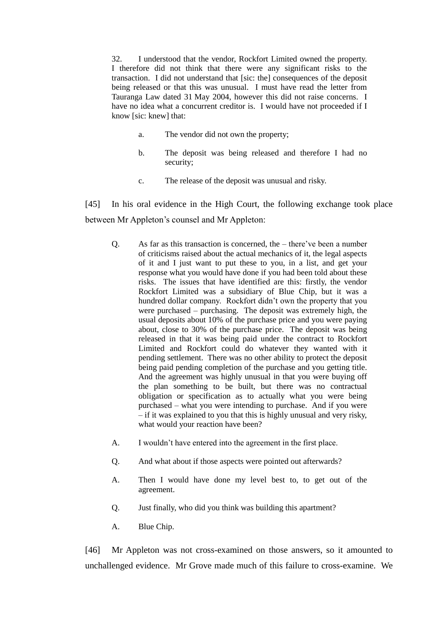32. I understood that the vendor, Rockfort Limited owned the property. I therefore did not think that there were any significant risks to the transaction. I did not understand that [sic: the] consequences of the deposit being released or that this was unusual. I must have read the letter from Tauranga Law dated 31 May 2004, however this did not raise concerns. I have no idea what a concurrent creditor is. I would have not proceeded if I know [sic: knew] that:

- a. The vendor did not own the property;
- b. The deposit was being released and therefore I had no security;
- c. The release of the deposit was unusual and risky.

[45] In his oral evidence in the High Court, the following exchange took place between Mr Appleton's counsel and Mr Appleton:

- Q. As far as this transaction is concerned, the there've been a number of criticisms raised about the actual mechanics of it, the legal aspects of it and I just want to put these to you, in a list, and get your response what you would have done if you had been told about these risks. The issues that have identified are this: firstly, the vendor Rockfort Limited was a subsidiary of Blue Chip, but it was a hundred dollar company. Rockfort didn't own the property that you were purchased – purchasing. The deposit was extremely high, the usual deposits about 10% of the purchase price and you were paying about, close to 30% of the purchase price. The deposit was being released in that it was being paid under the contract to Rockfort Limited and Rockfort could do whatever they wanted with it pending settlement. There was no other ability to protect the deposit being paid pending completion of the purchase and you getting title. And the agreement was highly unusual in that you were buying off the plan something to be built, but there was no contractual obligation or specification as to actually what you were being purchased – what you were intending to purchase. And if you were – if it was explained to you that this is highly unusual and very risky, what would your reaction have been?
- A. I wouldn't have entered into the agreement in the first place.
- Q. And what about if those aspects were pointed out afterwards?
- A. Then I would have done my level best to, to get out of the agreement.
- Q. Just finally, who did you think was building this apartment?
- A. Blue Chip.

[46] Mr Appleton was not cross-examined on those answers, so it amounted to unchallenged evidence. Mr Grove made much of this failure to cross-examine. We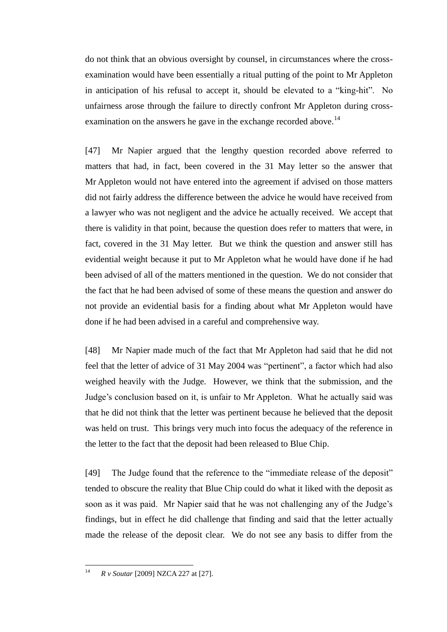do not think that an obvious oversight by counsel, in circumstances where the crossexamination would have been essentially a ritual putting of the point to Mr Appleton in anticipation of his refusal to accept it, should be elevated to a "king-hit". No unfairness arose through the failure to directly confront Mr Appleton during crossexamination on the answers he gave in the exchange recorded above.<sup>14</sup>

[47] Mr Napier argued that the lengthy question recorded above referred to matters that had, in fact, been covered in the 31 May letter so the answer that Mr Appleton would not have entered into the agreement if advised on those matters did not fairly address the difference between the advice he would have received from a lawyer who was not negligent and the advice he actually received. We accept that there is validity in that point, because the question does refer to matters that were, in fact, covered in the 31 May letter. But we think the question and answer still has evidential weight because it put to Mr Appleton what he would have done if he had been advised of all of the matters mentioned in the question. We do not consider that the fact that he had been advised of some of these means the question and answer do not provide an evidential basis for a finding about what Mr Appleton would have done if he had been advised in a careful and comprehensive way.

[48] Mr Napier made much of the fact that Mr Appleton had said that he did not feel that the letter of advice of 31 May 2004 was "pertinent", a factor which had also weighed heavily with the Judge. However, we think that the submission, and the Judge's conclusion based on it, is unfair to Mr Appleton. What he actually said was that he did not think that the letter was pertinent because he believed that the deposit was held on trust. This brings very much into focus the adequacy of the reference in the letter to the fact that the deposit had been released to Blue Chip.

[49] The Judge found that the reference to the "immediate release of the deposit" tended to obscure the reality that Blue Chip could do what it liked with the deposit as soon as it was paid. Mr Napier said that he was not challenging any of the Judge's findings, but in effect he did challenge that finding and said that the letter actually made the release of the deposit clear. We do not see any basis to differ from the

 $14$ <sup>14</sup> *R v Soutar* [2009] NZCA 227 at [27].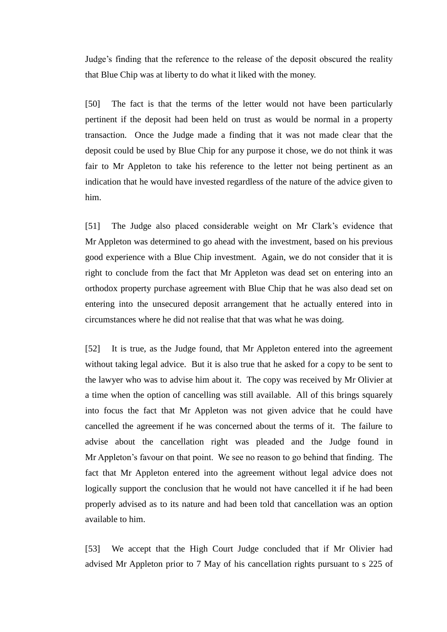Judge's finding that the reference to the release of the deposit obscured the reality that Blue Chip was at liberty to do what it liked with the money.

[50] The fact is that the terms of the letter would not have been particularly pertinent if the deposit had been held on trust as would be normal in a property transaction. Once the Judge made a finding that it was not made clear that the deposit could be used by Blue Chip for any purpose it chose, we do not think it was fair to Mr Appleton to take his reference to the letter not being pertinent as an indication that he would have invested regardless of the nature of the advice given to him.

[51] The Judge also placed considerable weight on Mr Clark's evidence that Mr Appleton was determined to go ahead with the investment, based on his previous good experience with a Blue Chip investment. Again, we do not consider that it is right to conclude from the fact that Mr Appleton was dead set on entering into an orthodox property purchase agreement with Blue Chip that he was also dead set on entering into the unsecured deposit arrangement that he actually entered into in circumstances where he did not realise that that was what he was doing.

[52] It is true, as the Judge found, that Mr Appleton entered into the agreement without taking legal advice. But it is also true that he asked for a copy to be sent to the lawyer who was to advise him about it. The copy was received by Mr Olivier at a time when the option of cancelling was still available. All of this brings squarely into focus the fact that Mr Appleton was not given advice that he could have cancelled the agreement if he was concerned about the terms of it. The failure to advise about the cancellation right was pleaded and the Judge found in Mr Appleton's favour on that point. We see no reason to go behind that finding. The fact that Mr Appleton entered into the agreement without legal advice does not logically support the conclusion that he would not have cancelled it if he had been properly advised as to its nature and had been told that cancellation was an option available to him.

[53] We accept that the High Court Judge concluded that if Mr Olivier had advised Mr Appleton prior to 7 May of his cancellation rights pursuant to s 225 of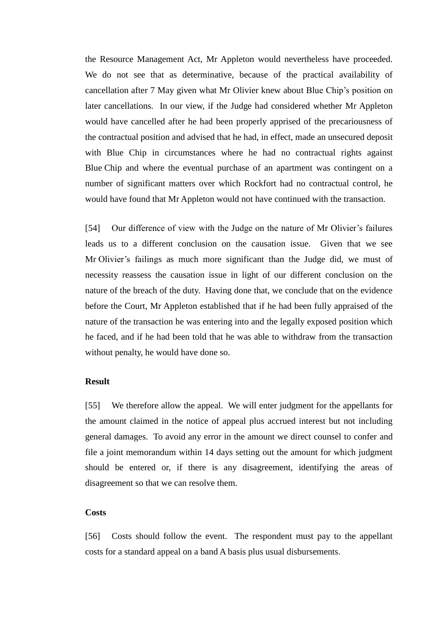the Resource Management Act, Mr Appleton would nevertheless have proceeded. We do not see that as determinative, because of the practical availability of cancellation after 7 May given what Mr Olivier knew about Blue Chip's position on later cancellations. In our view, if the Judge had considered whether Mr Appleton would have cancelled after he had been properly apprised of the precariousness of the contractual position and advised that he had, in effect, made an unsecured deposit with Blue Chip in circumstances where he had no contractual rights against Blue Chip and where the eventual purchase of an apartment was contingent on a number of significant matters over which Rockfort had no contractual control, he would have found that Mr Appleton would not have continued with the transaction.

[54] Our difference of view with the Judge on the nature of Mr Olivier's failures leads us to a different conclusion on the causation issue. Given that we see Mr Olivier's failings as much more significant than the Judge did, we must of necessity reassess the causation issue in light of our different conclusion on the nature of the breach of the duty. Having done that, we conclude that on the evidence before the Court, Mr Appleton established that if he had been fully appraised of the nature of the transaction he was entering into and the legally exposed position which he faced, and if he had been told that he was able to withdraw from the transaction without penalty, he would have done so.

### **Result**

<span id="page-18-0"></span>[55] We therefore allow the appeal. We will enter judgment for the appellants for the amount claimed in the notice of appeal plus accrued interest but not including general damages. To avoid any error in the amount we direct counsel to confer and file a joint memorandum within 14 days setting out the amount for which judgment should be entered or, if there is any disagreement, identifying the areas of disagreement so that we can resolve them.

### **Costs**

[56] Costs should follow the event. The respondent must pay to the appellant costs for a standard appeal on a band A basis plus usual disbursements.